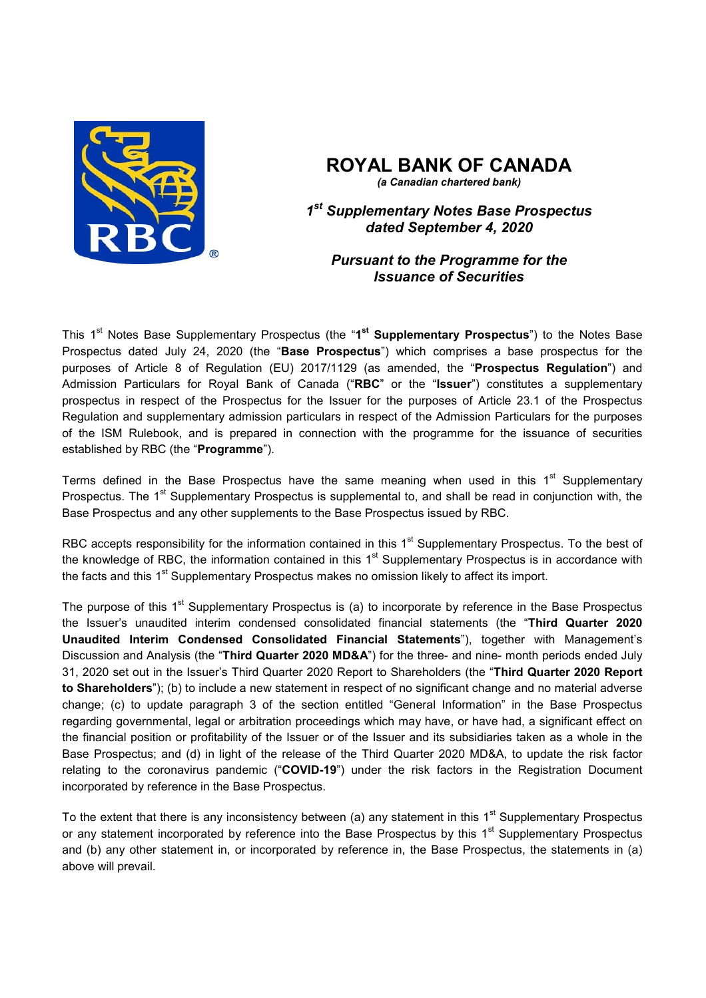

**ROYAL BANK OF CANADA**

*(a Canadian chartered bank)*

*1st Supplementary Notes Base Prospectus dated September 4, 2020* 

*Pursuant to the Programme for the Issuance of Securities* 

This 1<sup>st</sup> Notes Base Supplementary Prospectus (the "1<sup>st</sup> Supplementary Prospectus") to the Notes Base Prospectus dated July 24, 2020 (the "**Base Prospectus**") which comprises a base prospectus for the purposes of Article 8 of Regulation (EU) 2017/1129 (as amended, the "**Prospectus Regulation**") and Admission Particulars for Royal Bank of Canada ("**RBC**" or the "**Issuer**") constitutes a supplementary prospectus in respect of the Prospectus for the Issuer for the purposes of Article 23.1 of the Prospectus Regulation and supplementary admission particulars in respect of the Admission Particulars for the purposes of the ISM Rulebook, and is prepared in connection with the programme for the issuance of securities established by RBC (the "**Programme**").

Terms defined in the Base Prospectus have the same meaning when used in this  $1<sup>st</sup>$  Supplementary Prospectus. The 1<sup>st</sup> Supplementary Prospectus is supplemental to, and shall be read in conjunction with, the Base Prospectus and any other supplements to the Base Prospectus issued by RBC.

RBC accepts responsibility for the information contained in this 1<sup>st</sup> Supplementary Prospectus. To the best of the knowledge of RBC, the information contained in this  $1<sup>st</sup>$  Supplementary Prospectus is in accordance with the facts and this  $1<sup>st</sup>$  Supplementary Prospectus makes no omission likely to affect its import.

The purpose of this 1<sup>st</sup> Supplementary Prospectus is (a) to incorporate by reference in the Base Prospectus the Issuer's unaudited interim condensed consolidated financial statements (the "**Third Quarter 2020 Unaudited Interim Condensed Consolidated Financial Statements**"), together with Management's Discussion and Analysis (the "**Third Quarter 2020 MD&A**") for the three- and nine- month periods ended July 31, 2020 set out in the Issuer's Third Quarter 2020 Report to Shareholders (the "**Third Quarter 2020 Report to Shareholders**"); (b) to include a new statement in respect of no significant change and no material adverse change; (c) to update paragraph 3 of the section entitled "General Information" in the Base Prospectus regarding governmental, legal or arbitration proceedings which may have, or have had, a significant effect on the financial position or profitability of the Issuer or of the Issuer and its subsidiaries taken as a whole in the Base Prospectus; and (d) in light of the release of the Third Quarter 2020 MD&A, to update the risk factor relating to the coronavirus pandemic ("**COVID-19**") under the risk factors in the Registration Document incorporated by reference in the Base Prospectus.

To the extent that there is any inconsistency between (a) any statement in this 1<sup>st</sup> Supplementary Prospectus or any statement incorporated by reference into the Base Prospectus by this  $1<sup>st</sup>$  Supplementary Prospectus and (b) any other statement in, or incorporated by reference in, the Base Prospectus, the statements in (a) above will prevail.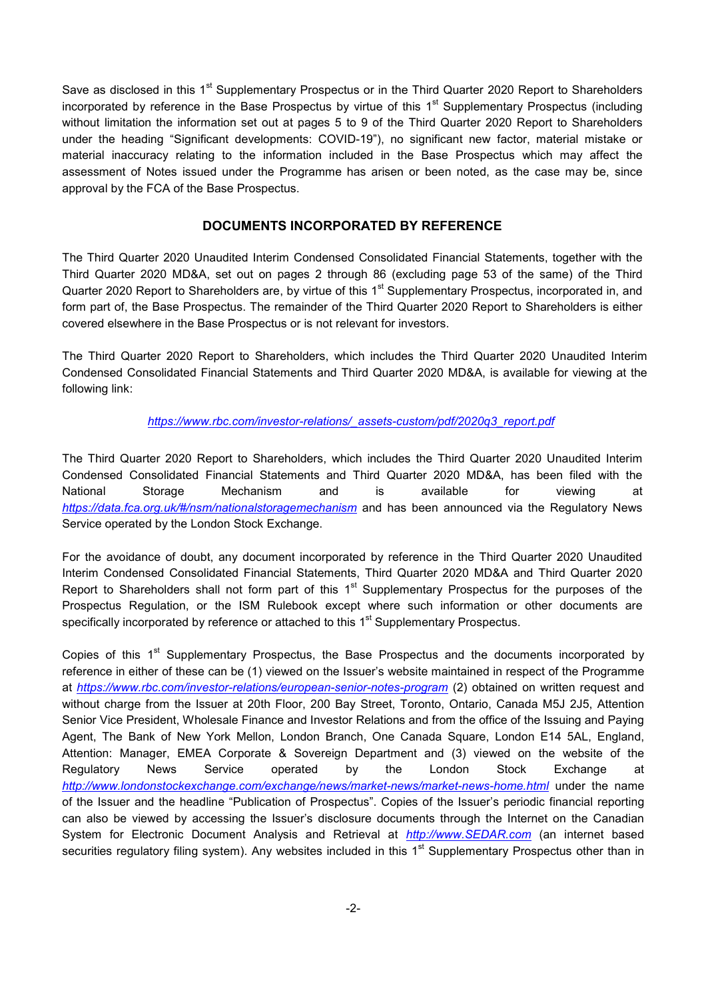Save as disclosed in this 1<sup>st</sup> Supplementary Prospectus or in the Third Quarter 2020 Report to Shareholders incorporated by reference in the Base Prospectus by virtue of this  $1<sup>st</sup>$  Supplementary Prospectus (including without limitation the information set out at pages 5 to 9 of the Third Quarter 2020 Report to Shareholders under the heading "Significant developments: COVID-19"), no significant new factor, material mistake or material inaccuracy relating to the information included in the Base Prospectus which may affect the assessment of Notes issued under the Programme has arisen or been noted, as the case may be, since approval by the FCA of the Base Prospectus.

#### **DOCUMENTS INCORPORATED BY REFERENCE**

The Third Quarter 2020 Unaudited Interim Condensed Consolidated Financial Statements, together with the Third Quarter 2020 MD&A, set out on pages 2 through 86 (excluding page 53 of the same) of the Third Quarter 2020 Report to Shareholders are, by virtue of this 1<sup>st</sup> Supplementary Prospectus, incorporated in, and form part of, the Base Prospectus. The remainder of the Third Quarter 2020 Report to Shareholders is either covered elsewhere in the Base Prospectus or is not relevant for investors.

The Third Quarter 2020 Report to Shareholders, which includes the Third Quarter 2020 Unaudited Interim Condensed Consolidated Financial Statements and Third Quarter 2020 MD&A, is available for viewing at the following link:

#### *https://www.rbc.com/investor-relations/\_assets-custom/pdf/2020q3\_report.pdf*

The Third Quarter 2020 Report to Shareholders, which includes the Third Quarter 2020 Unaudited Interim Condensed Consolidated Financial Statements and Third Quarter 2020 MD&A, has been filed with the National Storage Mechanism and is available for viewing at *https://data.fca.org.uk/#/nsm/nationalstoragemechanism* and has been announced via the Regulatory News Service operated by the London Stock Exchange.

For the avoidance of doubt, any document incorporated by reference in the Third Quarter 2020 Unaudited Interim Condensed Consolidated Financial Statements, Third Quarter 2020 MD&A and Third Quarter 2020 Report to Shareholders shall not form part of this 1<sup>st</sup> Supplementary Prospectus for the purposes of the Prospectus Regulation, or the ISM Rulebook except where such information or other documents are specifically incorporated by reference or attached to this 1<sup>st</sup> Supplementary Prospectus.

Copies of this 1<sup>st</sup> Supplementary Prospectus, the Base Prospectus and the documents incorporated by reference in either of these can be (1) viewed on the Issuer's website maintained in respect of the Programme at *https://www.rbc.com/investor-relations/european-senior-notes-program* (2) obtained on written request and without charge from the Issuer at 20th Floor, 200 Bay Street, Toronto, Ontario, Canada M5J 2J5, Attention Senior Vice President, Wholesale Finance and Investor Relations and from the office of the Issuing and Paying Agent, The Bank of New York Mellon, London Branch, One Canada Square, London E14 5AL, England, Attention: Manager, EMEA Corporate & Sovereign Department and (3) viewed on the website of the Regulatory News Service operated by the London Stock Exchange at http://www.londonstockexchange.com/exchange/news/market-news/market-news-home.html under the name of the Issuer and the headline "Publication of Prospectus". Copies of the Issuer's periodic financial reporting can also be viewed by accessing the Issuer's disclosure documents through the Internet on the Canadian System for Electronic Document Analysis and Retrieval at *http://www.SEDAR.com* (an internet based securities regulatory filing system). Any websites included in this 1<sup>st</sup> Supplementary Prospectus other than in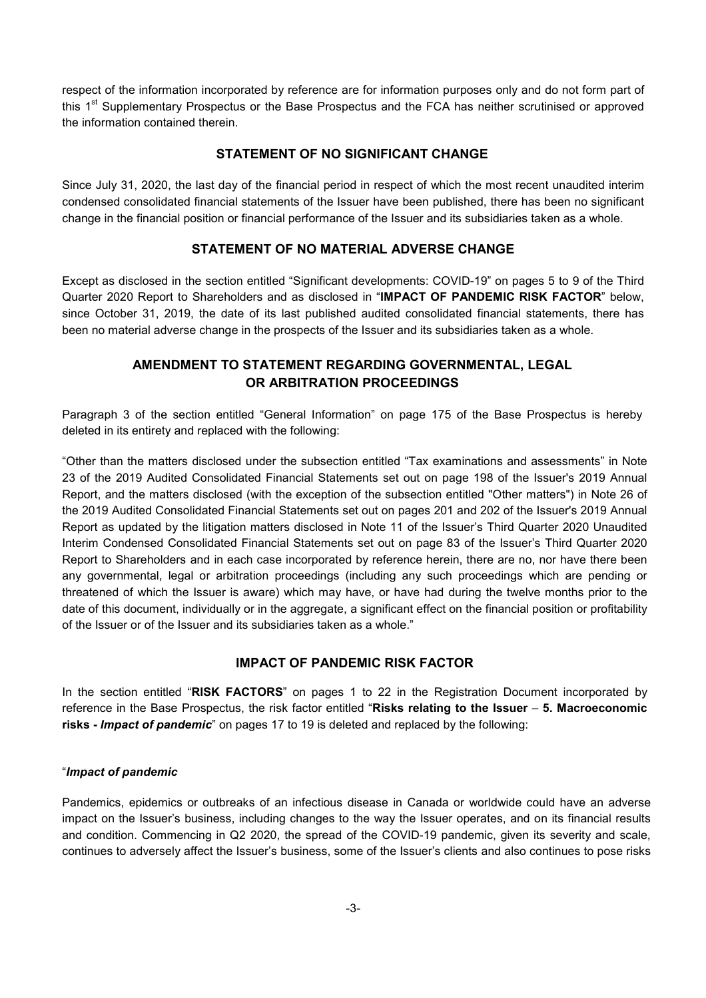respect of the information incorporated by reference are for information purposes only and do not form part of this 1<sup>st</sup> Supplementary Prospectus or the Base Prospectus and the FCA has neither scrutinised or approved the information contained therein.

## **STATEMENT OF NO SIGNIFICANT CHANGE**

Since July 31, 2020, the last day of the financial period in respect of which the most recent unaudited interim condensed consolidated financial statements of the Issuer have been published, there has been no significant change in the financial position or financial performance of the Issuer and its subsidiaries taken as a whole.

## **STATEMENT OF NO MATERIAL ADVERSE CHANGE**

Except as disclosed in the section entitled "Significant developments: COVID-19" on pages 5 to 9 of the Third Quarter 2020 Report to Shareholders and as disclosed in "**IMPACT OF PANDEMIC RISK FACTOR**" below, since October 31, 2019, the date of its last published audited consolidated financial statements, there has been no material adverse change in the prospects of the Issuer and its subsidiaries taken as a whole.

# **AMENDMENT TO STATEMENT REGARDING GOVERNMENTAL, LEGAL OR ARBITRATION PROCEEDINGS**

Paragraph 3 of the section entitled "General Information" on page 175 of the Base Prospectus is hereby deleted in its entirety and replaced with the following:

"Other than the matters disclosed under the subsection entitled "Tax examinations and assessments" in Note 23 of the 2019 Audited Consolidated Financial Statements set out on page 198 of the Issuer's 2019 Annual Report, and the matters disclosed (with the exception of the subsection entitled "Other matters") in Note 26 of the 2019 Audited Consolidated Financial Statements set out on pages 201 and 202 of the Issuer's 2019 Annual Report as updated by the litigation matters disclosed in Note 11 of the Issuer's Third Quarter 2020 Unaudited Interim Condensed Consolidated Financial Statements set out on page 83 of the Issuer's Third Quarter 2020 Report to Shareholders and in each case incorporated by reference herein, there are no, nor have there been any governmental, legal or arbitration proceedings (including any such proceedings which are pending or threatened of which the Issuer is aware) which may have, or have had during the twelve months prior to the date of this document, individually or in the aggregate, a significant effect on the financial position or profitability of the Issuer or of the Issuer and its subsidiaries taken as a whole."

## **IMPACT OF PANDEMIC RISK FACTOR**

In the section entitled "**RISK FACTORS**" on pages 1 to 22 in the Registration Document incorporated by reference in the Base Prospectus, the risk factor entitled "**Risks relating to the Issuer** – **5. Macroeconomic risks -** *Impact of pandemic*" on pages 17 to 19 is deleted and replaced by the following:

### "*Impact of pandemic*

Pandemics, epidemics or outbreaks of an infectious disease in Canada or worldwide could have an adverse impact on the Issuer's business, including changes to the way the Issuer operates, and on its financial results and condition. Commencing in Q2 2020, the spread of the COVID-19 pandemic, given its severity and scale, continues to adversely affect the Issuer's business, some of the Issuer's clients and also continues to pose risks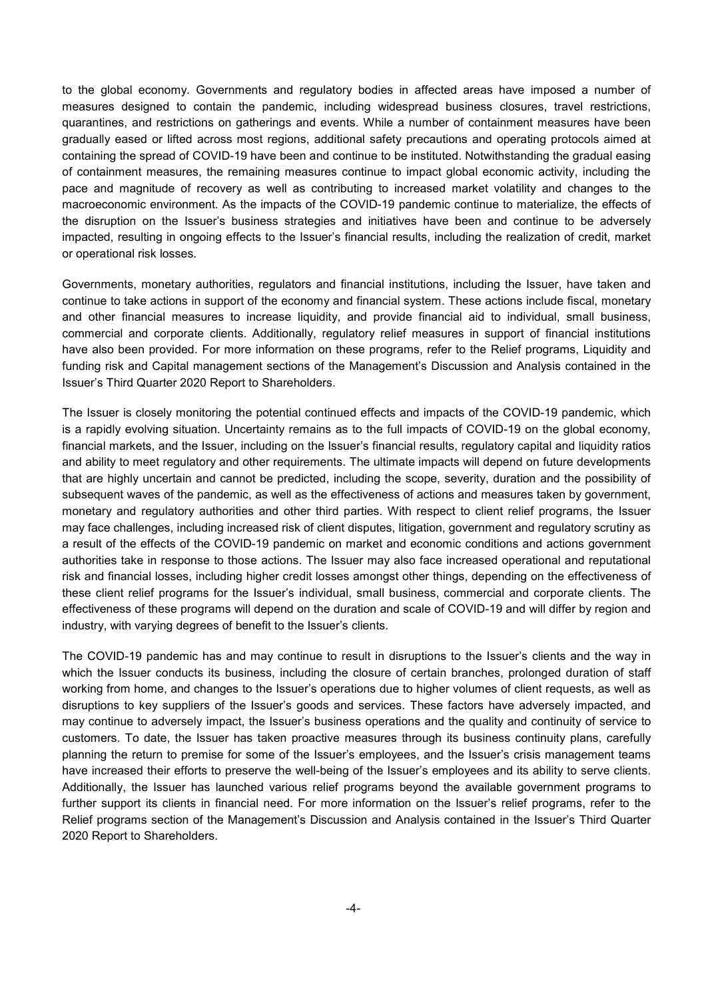to the global economy. Governments and regulatory bodies in affected areas have imposed a number of measures designed to contain the pandemic, including widespread business closures, travel restrictions, quarantines, and restrictions on gatherings and events. While a number of containment measures have been gradually eased or lifted across most regions, additional safety precautions and operating protocols aimed at containing the spread of COVID-19 have been and continue to be instituted. Notwithstanding the gradual easing of containment measures, the remaining measures continue to impact global economic activity, including the pace and magnitude of recovery as well as contributing to increased market volatility and changes to the macroeconomic environment. As the impacts of the COVID-19 pandemic continue to materialize, the effects of the disruption on the Issuer's business strategies and initiatives have been and continue to be adversely impacted, resulting in ongoing effects to the Issuer's financial results, including the realization of credit, market or operational risk losses.

Governments, monetary authorities, regulators and financial institutions, including the Issuer, have taken and continue to take actions in support of the economy and financial system. These actions include fiscal, monetary and other financial measures to increase liquidity, and provide financial aid to individual, small business, commercial and corporate clients. Additionally, regulatory relief measures in support of financial institutions have also been provided. For more information on these programs, refer to the Relief programs, Liquidity and funding risk and Capital management sections of the Management's Discussion and Analysis contained in the Issuer's Third Quarter 2020 Report to Shareholders.

The Issuer is closely monitoring the potential continued effects and impacts of the COVID-19 pandemic, which is a rapidly evolving situation. Uncertainty remains as to the full impacts of COVID-19 on the global economy, financial markets, and the Issuer, including on the Issuer's financial results, regulatory capital and liquidity ratios and ability to meet regulatory and other requirements. The ultimate impacts will depend on future developments that are highly uncertain and cannot be predicted, including the scope, severity, duration and the possibility of subsequent waves of the pandemic, as well as the effectiveness of actions and measures taken by government, monetary and regulatory authorities and other third parties. With respect to client relief programs, the Issuer may face challenges, including increased risk of client disputes, litigation, government and regulatory scrutiny as a result of the effects of the COVID-19 pandemic on market and economic conditions and actions government authorities take in response to those actions. The Issuer may also face increased operational and reputational risk and financial losses, including higher credit losses amongst other things, depending on the effectiveness of these client relief programs for the Issuer's individual, small business, commercial and corporate clients. The effectiveness of these programs will depend on the duration and scale of COVID-19 and will differ by region and industry, with varying degrees of benefit to the Issuer's clients.

The COVID-19 pandemic has and may continue to result in disruptions to the Issuer's clients and the way in which the Issuer conducts its business, including the closure of certain branches, prolonged duration of staff working from home, and changes to the Issuer's operations due to higher volumes of client requests, as well as disruptions to key suppliers of the Issuer's goods and services. These factors have adversely impacted, and may continue to adversely impact, the Issuer's business operations and the quality and continuity of service to customers. To date, the Issuer has taken proactive measures through its business continuity plans, carefully planning the return to premise for some of the Issuer's employees, and the Issuer's crisis management teams have increased their efforts to preserve the well-being of the Issuer's employees and its ability to serve clients. Additionally, the Issuer has launched various relief programs beyond the available government programs to further support its clients in financial need. For more information on the Issuer's relief programs, refer to the Relief programs section of the Management's Discussion and Analysis contained in the Issuer's Third Quarter 2020 Report to Shareholders.